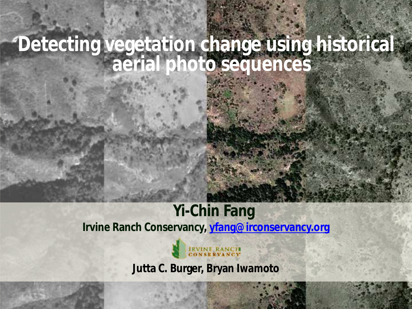#### **Detecting vegetation change using historical aerial photo sequences**

#### **Yi-Chin Fang**

**Irvine Ranch Conservancy, [yfang@irconservancy.org](mailto:yfang@irconservancy.org)**



**Jutta C. Burger, Bryan Iwamoto**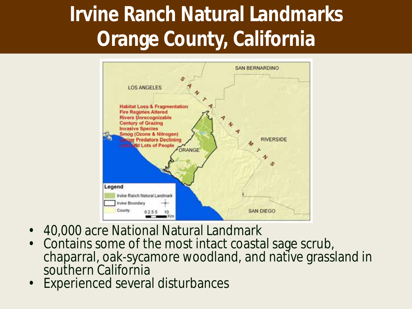## **Irvine Ranch Natural Landmarks Orange County, California**



- 40,000 acre National Natural Landmark
- Contains some of the most intact coastal sage scrub, chaparral, oak-sycamore woodland, and native grassland in southern California
- Experienced several disturbances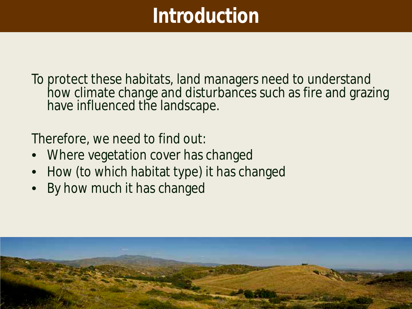### **Introduction**

To protect these habitats, land managers need to understand how climate change and disturbances such as fire and grazing have influenced the landscape.

Therefore, we need to find out:

- Where vegetation cover has changed
- How (to which habitat type) it has changed
- By how much it has changed

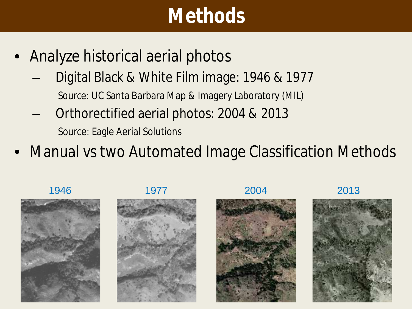### **Methods**

- Analyze historical aerial photos
	- Digital Black & White Film image: 1946 & 1977 Source: UC Santa Barbara Map & Imagery Laboratory (MIL)
	- Orthorectified aerial photos: 2004 & 2013 Source: Eagle Aerial Solutions
- Manual vs two Automated Image Classification Methods

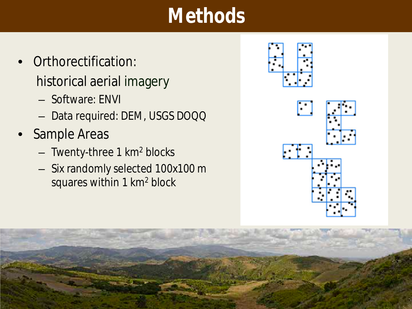### **Methods**

- Orthorectification: historical aerial imagery
	- Software: ENVI
	- Data required: DEM, USGS DOQQ
- Sample Areas
	- Twenty-three 1 km2 blocks
	- Six randomly selected 100x100 m squares within 1 km2 block

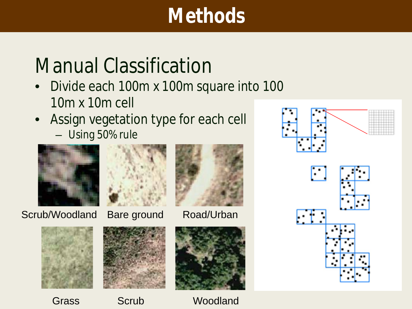### **Methods**

### Manual Classification

- Divide each 100m x 100m square into 100 10m x 10m cell
- Assign vegetation type for each cell
	- Using 50% rule



Scrub/Woodland Bare ground Road/Urban









Grass Scrub Woodland





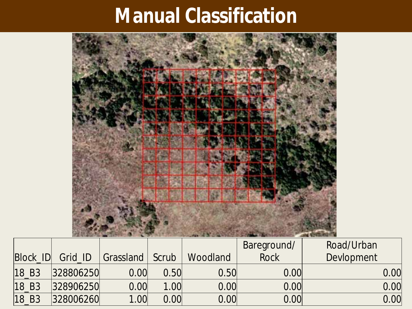### **Manual Classification**



|                   |           |           |                   |          | Bareground/ | Road/Urban |
|-------------------|-----------|-----------|-------------------|----------|-------------|------------|
| Block ID          | Grid ID   | Grassland | Scrub             | Woodland | <b>Rock</b> | Devlopment |
| 18 B3             | 328806250 | 0.00      | 0.50 <sup>l</sup> | 0.50     | 0.00        | 0.00       |
| 18 B <sub>3</sub> | 328906250 | 0.00      | 1.00              | 0.00     | 0.00        | 0.00       |
| 18 B3             | 328006260 | 1.00      | 0.00              | 0.00     | 0.00        | 0.00       |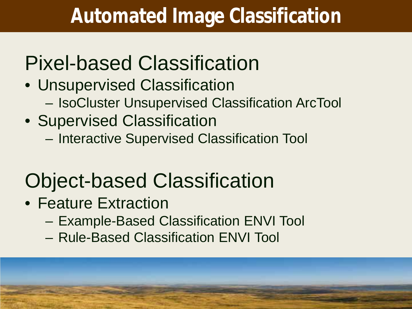### **Automated Image Classification**

## Pixel-based Classification

- Unsupervised Classification
	- IsoCluster Unsupervised Classification ArcTool
- Supervised Classification
	- Interactive Supervised Classification Tool

## Object-based Classification

- Feature Extraction
	- Example-Based Classification ENVI Tool
	- Rule-Based Classification ENVI Tool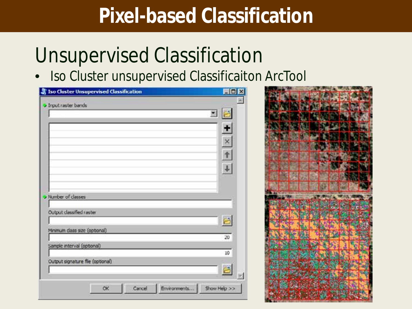### **Pixel-based Classification**

### Unsupervised Classification

• Iso Cluster unsupervised Classificaiton ArcTool

| Iso Cluster Unsupervised Classification | 開口区          |
|-----------------------------------------|--------------|
| <b>J</b> Input raster bands             |              |
|                                         | 圖            |
|                                         |              |
|                                         | $\pm$        |
|                                         | $rac{x}{t}$  |
|                                         |              |
|                                         |              |
|                                         |              |
|                                         |              |
|                                         |              |
| <b>v</b> Number of classes              |              |
| Output classified raster                |              |
|                                         |              |
| Minimum class size (optional)           |              |
|                                         | 20           |
| Sample interval (optional)              |              |
|                                         | 10           |
| Output signature file (optional)        | B            |
|                                         |              |
| ОК<br>Cancel                            | Show Help >> |
| Environments                            |              |

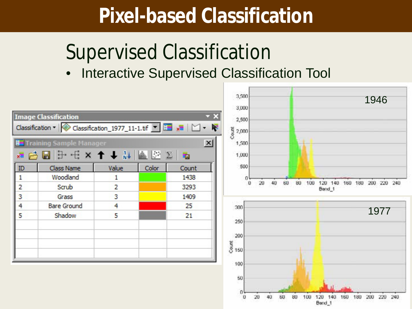### **Pixel-based Classification**

### Supervised Classification

• Interactive Supervised Classification Tool

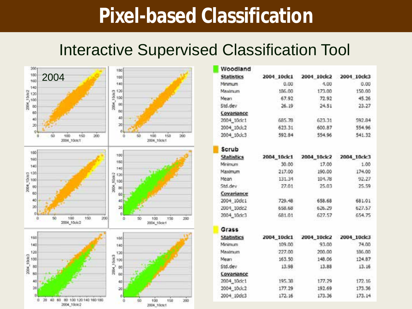#### **Pixel-based Classification**

#### Interactive Supervised Classification Tool



| Woodland          |             |             |                         |
|-------------------|-------------|-------------|-------------------------|
| <b>Statistics</b> | 2004 10ck1  | 2004 10dc2  | 2004 10clc3             |
| Minimum           | 0.00        | $-4.00$     | 0.00                    |
| Maximum           | 186.00      | 173.00      | 150.00                  |
| Mean              | 67.92       | 72.92       | 45.26                   |
| Std.dev           | 26.19       | 24.51       | 23.27                   |
| Covariance        |             |             |                         |
| 2004_10dc1        | 685.78      | 623.31      | 592.84                  |
| 2004_10dc2        | 623.31      | 600.87      | 554.96                  |
| 2004_10dc3        | 592.84      | 554.96      | 541.32                  |
| Scrub             |             |             |                         |
| <b>Statistics</b> | 2004_10clc1 | 2004_10clc2 | 2004 10ck3              |
| Minimum           | 30.00       | 17.00       | 1.00                    |
| Maximum           | 217.00      | 190.00      | 174.00                  |
| Mean              | 131.34      | 104.78      | 92.27                   |
| Std.dev           | 27.01       | 25.03       | 25.59                   |
| Covariance        |             |             |                         |
| 2004_10dc1        | 729.48      | 658.68      | 681.01                  |
| 2004_10dc2        | 658.68      | 626.29      | 627.57                  |
| 2004_10dc3        | 681.01      | 627.57      | 654.75                  |
| Grass             |             |             |                         |
| <b>Statistics</b> | 2004_10ck1  |             | 2004_10clc2 2004_10clc3 |
| Minimum           | 109.00      | 93.00       | 74.00                   |
| Maximum           | 227.00      | 200.00      | 186.00                  |
| Mean              | 163.50      | 148.06      | 124.87                  |
| Std.dev           | 13.98       | 13.88       | 13.16                   |
| Covariance        |             |             |                         |
| 2004_10dc1        | 195.38      | 177.29      | 172.15                  |
| 2004 10dc2        | 177.29      | 192.69      | 173.36                  |
| 2004 10dc3        | 172.16      | 173.36      | 173.14                  |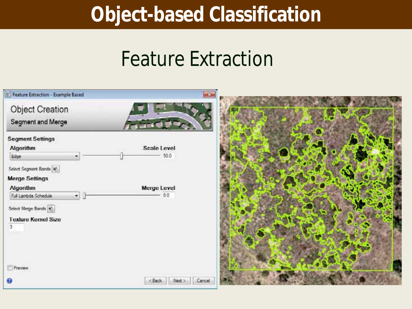#### **Object-based Classification**

#### Feature Extraction

| <b>B</b> : Feature Extraction - Example Based                                                 | $\mathbf{E}$                 |  |
|-----------------------------------------------------------------------------------------------|------------------------------|--|
| Object Creation<br>Segment and Merge                                                          |                              |  |
| <b>Segment Settings</b><br>Algorithm<br>Edge<br>Select Segment Banda                          | <b>Scale Level</b><br>50.0   |  |
| <b>Merge Settings</b><br><b>Algorithm</b><br>Full Lambda Schedule<br>×.<br>Select Merge Bands | Merge Level<br>0.0           |  |
| <b>Texture Kernel Size</b><br>3<br>Preview                                                    |                              |  |
|                                                                                               | $<$ Back<br>Cancel<br>Next > |  |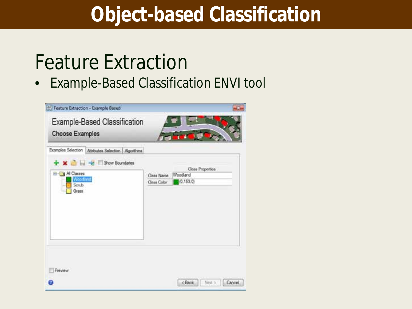#### **Object-based Classification**

### Feature Extraction

• Example-Based Classification ENVI tool

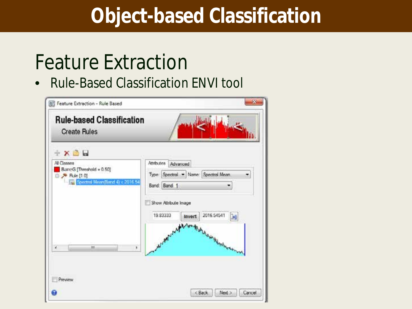### **Object-based Classification**

### Feature Extraction

• Rule-Based Classification ENVI tool

| $+ \times 3$                                                                                          |                                                                                                                                                                      |
|-------------------------------------------------------------------------------------------------------|----------------------------------------------------------------------------------------------------------------------------------------------------------------------|
| All Classes<br>BareG [Threshold = 0.50]<br><b>B</b> & Rule [10]<br>F Spectral Mean (Band 4) < 2016 54 | <b>Athlutes</b> Advanced<br>Type: Spectral - Name: Spectral Mean<br>۰<br>Band: Band 1<br>٠<br>Show Athloude Image<br>2016.54541<br>19.83333<br><b>Jell</b><br>Invert |
| ×<br>m                                                                                                | والمعامول<br>Microsof why<br><b>Construction Report Americans</b><br>×                                                                                               |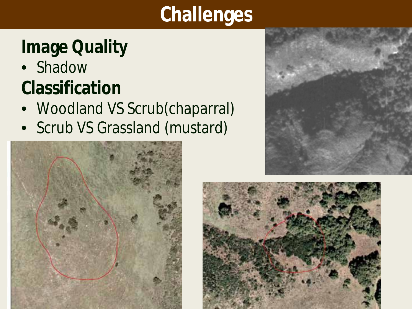## **Challenges**

### **Image Quality**

• Shadow

### **Classification**

- Woodland VS Scrub(chaparral)
- Scrub VS Grassland (mustard)





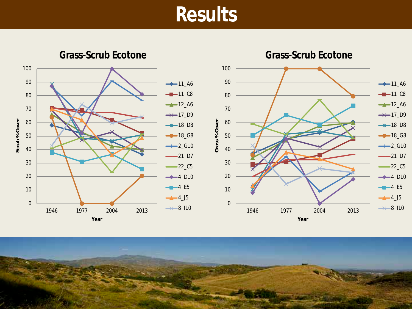#### **Results**

**Grass-Scrub Ecotone**





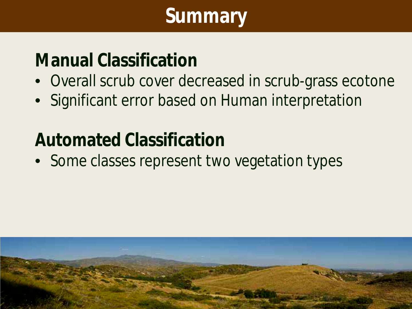## **Summary**

#### **Manual Classification**

- Overall scrub cover decreased in scrub-grass ecotone
- Significant error based on Human interpretation

#### **Automated Classification**

• Some classes represent two vegetation types

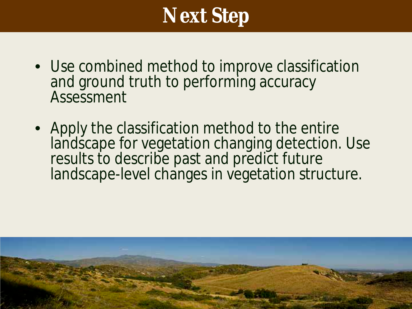### **Next Step**

- Use combined method to improve classification and ground truth to performing accuracy **Assessment**
- Apply the classification method to the entire landscape for vegetation changing detection. Use results to describe past and predict future landscape-level changes in vegetation structure.